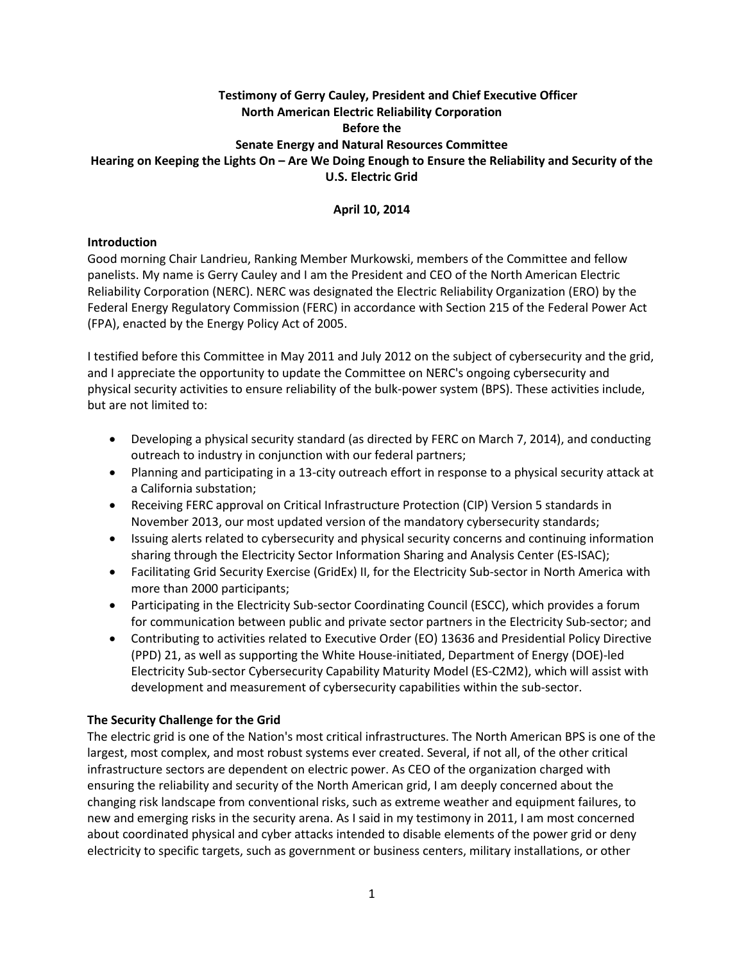# **Testimony of Gerry Cauley, President and Chief Executive Officer North American Electric Reliability Corporation Before the Senate Energy and Natural Resources Committee Hearing on Keeping the Lights On – Are We Doing Enough to Ensure the Reliability and Security of the U.S. Electric Grid**

## **April 10, 2014**

### **Introduction**

Good morning Chair Landrieu, Ranking Member Murkowski, members of the Committee and fellow panelists. My name is Gerry Cauley and I am the President and CEO of the North American Electric Reliability Corporation (NERC). NERC was designated the Electric Reliability Organization (ERO) by the Federal Energy Regulatory Commission (FERC) in accordance with Section 215 of the Federal Power Act (FPA), enacted by the Energy Policy Act of 2005.

I testified before this Committee in May 2011 and July 2012 on the subject of cybersecurity and the grid, and I appreciate the opportunity to update the Committee on NERC's ongoing cybersecurity and physical security activities to ensure reliability of the bulk-power system (BPS). These activities include, but are not limited to:

- Developing a physical security standard (as directed by FERC on March 7, 2014), and conducting outreach to industry in conjunction with our federal partners;
- Planning and participating in a 13-city outreach effort in response to a physical security attack at a California substation;
- Receiving FERC approval on Critical Infrastructure Protection (CIP) Version 5 standards in November 2013, our most updated version of the mandatory cybersecurity standards;
- Issuing alerts related to cybersecurity and physical security concerns and continuing information sharing through the Electricity Sector Information Sharing and Analysis Center (ES-ISAC);
- Facilitating Grid Security Exercise (GridEx) II, for the Electricity Sub-sector in North America with more than 2000 participants;
- Participating in the Electricity Sub-sector Coordinating Council (ESCC), which provides a forum for communication between public and private sector partners in the Electricity Sub-sector; and
- Contributing to activities related to Executive Order (EO) 13636 and Presidential Policy Directive (PPD) 21, as well as supporting the White House-initiated, Department of Energy (DOE)-led Electricity Sub-sector Cybersecurity Capability Maturity Model (ES-C2M2), which will assist with development and measurement of cybersecurity capabilities within the sub-sector.

### **The Security Challenge for the Grid**

The electric grid is one of the Nation's most critical infrastructures. The North American BPS is one of the largest, most complex, and most robust systems ever created. Several, if not all, of the other critical infrastructure sectors are dependent on electric power. As CEO of the organization charged with ensuring the reliability and security of the North American grid, I am deeply concerned about the changing risk landscape from conventional risks, such as extreme weather and equipment failures, to new and emerging risks in the security arena. As I said in my testimony in 2011, I am most concerned about coordinated physical and cyber attacks intended to disable elements of the power grid or deny electricity to specific targets, such as government or business centers, military installations, or other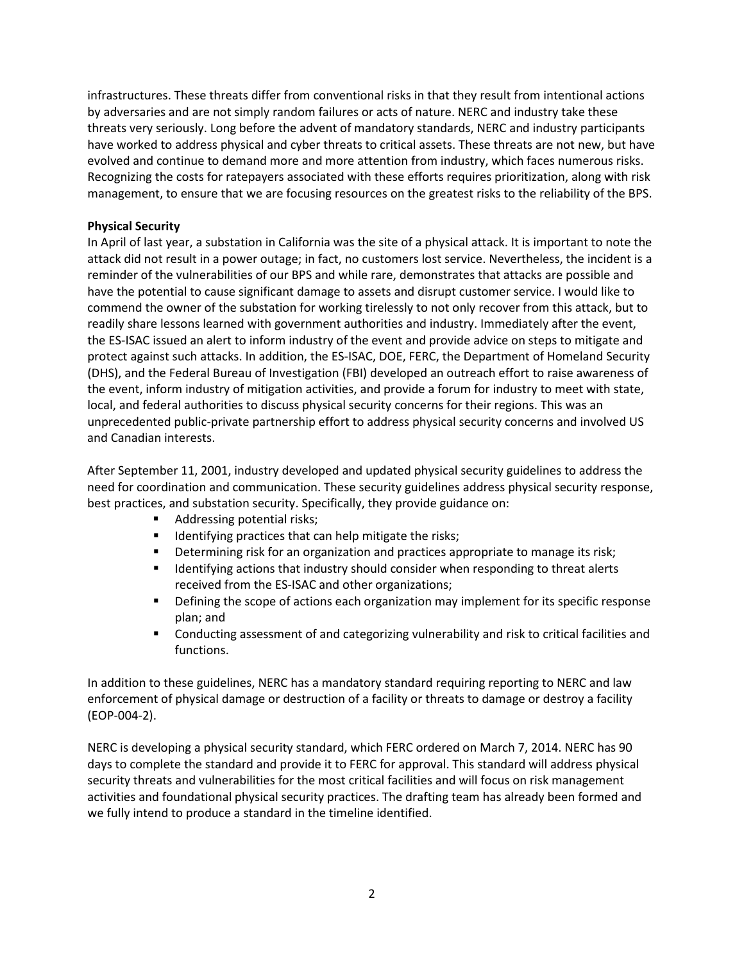infrastructures. These threats differ from conventional risks in that they result from intentional actions by adversaries and are not simply random failures or acts of nature. NERC and industry take these threats very seriously. Long before the advent of mandatory standards, NERC and industry participants have worked to address physical and cyber threats to critical assets. These threats are not new, but have evolved and continue to demand more and more attention from industry, which faces numerous risks. Recognizing the costs for ratepayers associated with these efforts requires prioritization, along with risk management, to ensure that we are focusing resources on the greatest risks to the reliability of the BPS.

# **Physical Security**

In April of last year, a substation in California was the site of a physical attack. It is important to note the attack did not result in a power outage; in fact, no customers lost service. Nevertheless, the incident is a reminder of the vulnerabilities of our BPS and while rare, demonstrates that attacks are possible and have the potential to cause significant damage to assets and disrupt customer service. I would like to commend the owner of the substation for working tirelessly to not only recover from this attack, but to readily share lessons learned with government authorities and industry. Immediately after the event, the ES-ISAC issued an alert to inform industry of the event and provide advice on steps to mitigate and protect against such attacks. In addition, the ES-ISAC, DOE, FERC, the Department of Homeland Security (DHS), and the Federal Bureau of Investigation (FBI) developed an outreach effort to raise awareness of the event, inform industry of mitigation activities, and provide a forum for industry to meet with state, local, and federal authorities to discuss physical security concerns for their regions. This was an unprecedented public-private partnership effort to address physical security concerns and involved US and Canadian interests.

After September 11, 2001, industry developed and updated physical security guidelines to address the need for coordination and communication. These security guidelines address physical security response, best practices, and substation security. Specifically, they provide guidance on:

- Addressing potential risks;
- $\blacksquare$  Identifying practices that can help mitigate the risks;
- Determining risk for an organization and practices appropriate to manage its risk;
- **IDENTIFY IDENTIFY IDENTIFY SHOULD CONSIDER THE IDENTIFY IDENT** in the definition of the definition of the definition of the alerts received from the ES-ISAC and other organizations;
- **•** Defining the scope of actions each organization may implement for its specific response plan; and
- Conducting assessment of and categorizing vulnerability and risk to critical facilities and functions.

In addition to these guidelines, NERC has a mandatory standard requiring reporting to NERC and law enforcement of physical damage or destruction of a facility or threats to damage or destroy a facility (EOP-004-2).

NERC is developing a physical security standard, which FERC ordered on March 7, 2014. NERC has 90 days to complete the standard and provide it to FERC for approval. This standard will address physical security threats and vulnerabilities for the most critical facilities and will focus on risk management activities and foundational physical security practices. The drafting team has already been formed and we fully intend to produce a standard in the timeline identified.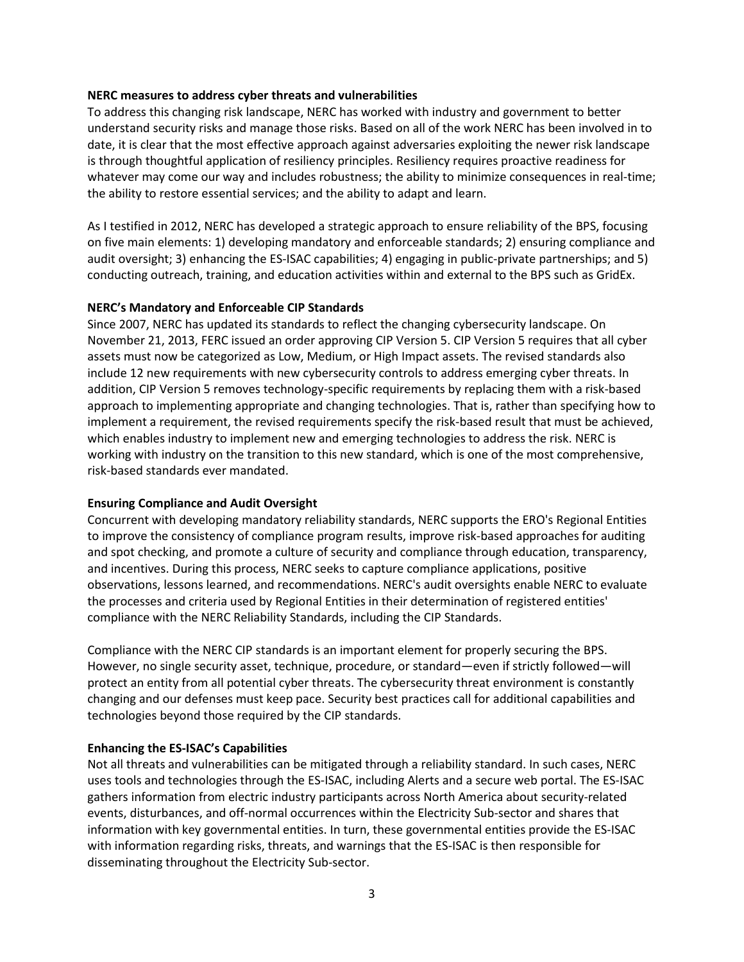#### **NERC measures to address cyber threats and vulnerabilities**

To address this changing risk landscape, NERC has worked with industry and government to better understand security risks and manage those risks. Based on all of the work NERC has been involved in to date, it is clear that the most effective approach against adversaries exploiting the newer risk landscape is through thoughtful application of resiliency principles. Resiliency requires proactive readiness for whatever may come our way and includes robustness; the ability to minimize consequences in real-time; the ability to restore essential services; and the ability to adapt and learn.

As I testified in 2012, NERC has developed a strategic approach to ensure reliability of the BPS, focusing on five main elements: 1) developing mandatory and enforceable standards; 2) ensuring compliance and audit oversight; 3) enhancing the ES-ISAC capabilities; 4) engaging in public-private partnerships; and 5) conducting outreach, training, and education activities within and external to the BPS such as GridEx.

### **NERC's Mandatory and Enforceable CIP Standards**

Since 2007, NERC has updated its standards to reflect the changing cybersecurity landscape. On November 21, 2013, FERC issued an order approving CIP Version 5. CIP Version 5 requires that all cyber assets must now be categorized as Low, Medium, or High Impact assets. The revised standards also include 12 new requirements with new cybersecurity controls to address emerging cyber threats. In addition, CIP Version 5 removes technology-specific requirements by replacing them with a risk-based approach to implementing appropriate and changing technologies. That is, rather than specifying how to implement a requirement, the revised requirements specify the risk-based result that must be achieved, which enables industry to implement new and emerging technologies to address the risk. NERC is working with industry on the transition to this new standard, which is one of the most comprehensive, risk-based standards ever mandated.

### **Ensuring Compliance and Audit Oversight**

Concurrent with developing mandatory reliability standards, NERC supports the ERO's Regional Entities to improve the consistency of compliance program results, improve risk-based approaches for auditing and spot checking, and promote a culture of security and compliance through education, transparency, and incentives. During this process, NERC seeks to capture compliance applications, positive observations, lessons learned, and recommendations. NERC's audit oversights enable NERC to evaluate the processes and criteria used by Regional Entities in their determination of registered entities' compliance with the NERC Reliability Standards, including the CIP Standards.

Compliance with the NERC CIP standards is an important element for properly securing the BPS. However, no single security asset, technique, procedure, or standard—even if strictly followed—will protect an entity from all potential cyber threats. The cybersecurity threat environment is constantly changing and our defenses must keep pace. Security best practices call for additional capabilities and technologies beyond those required by the CIP standards.

### **Enhancing the ES-ISAC's Capabilities**

Not all threats and vulnerabilities can be mitigated through a reliability standard. In such cases, NERC uses tools and technologies through the ES-ISAC, including Alerts and a secure web portal. The ES-ISAC gathers information from electric industry participants across North America about security-related events, disturbances, and off-normal occurrences within the Electricity Sub-sector and shares that information with key governmental entities. In turn, these governmental entities provide the ES-ISAC with information regarding risks, threats, and warnings that the ES-ISAC is then responsible for disseminating throughout the Electricity Sub-sector.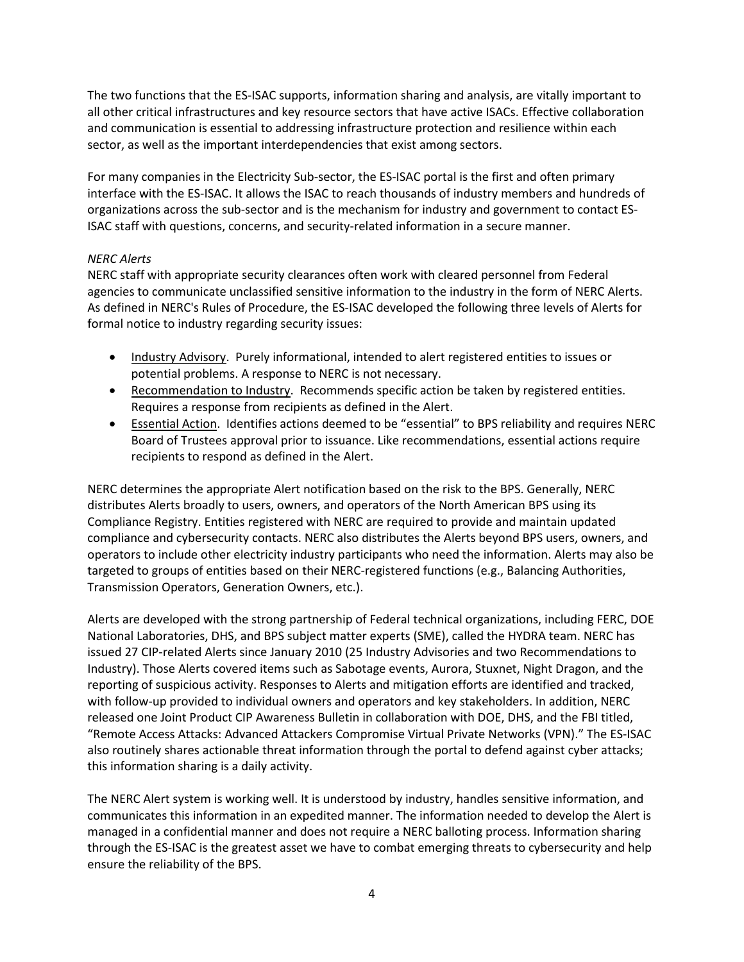The two functions that the ES-ISAC supports, information sharing and analysis, are vitally important to all other critical infrastructures and key resource sectors that have active ISACs. Effective collaboration and communication is essential to addressing infrastructure protection and resilience within each sector, as well as the important interdependencies that exist among sectors.

For many companies in the Electricity Sub-sector, the ES-ISAC portal is the first and often primary interface with the ES-ISAC. It allows the ISAC to reach thousands of industry members and hundreds of organizations across the sub-sector and is the mechanism for industry and government to contact ES-ISAC staff with questions, concerns, and security-related information in a secure manner.

### *NERC Alerts*

NERC staff with appropriate security clearances often work with cleared personnel from Federal agencies to communicate unclassified sensitive information to the industry in the form of NERC Alerts. As defined in NERC's Rules of Procedure, the ES-ISAC developed the following three levels of Alerts for formal notice to industry regarding security issues:

- Industry Advisory. Purely informational, intended to alert registered entities to issues or potential problems. A response to NERC is not necessary.
- Recommendation to Industry. Recommends specific action be taken by registered entities. Requires a response from recipients as defined in the Alert.
- Essential Action. Identifies actions deemed to be "essential" to BPS reliability and requires NERC Board of Trustees approval prior to issuance. Like recommendations, essential actions require recipients to respond as defined in the Alert.

NERC determines the appropriate Alert notification based on the risk to the BPS. Generally, NERC distributes Alerts broadly to users, owners, and operators of the North American BPS using its Compliance Registry. Entities registered with NERC are required to provide and maintain updated compliance and cybersecurity contacts. NERC also distributes the Alerts beyond BPS users, owners, and operators to include other electricity industry participants who need the information. Alerts may also be targeted to groups of entities based on their NERC-registered functions (e.g., Balancing Authorities, Transmission Operators, Generation Owners, etc.).

Alerts are developed with the strong partnership of Federal technical organizations, including FERC, DOE National Laboratories, DHS, and BPS subject matter experts (SME), called the HYDRA team. NERC has issued 27 CIP-related Alerts since January 2010 (25 Industry Advisories and two Recommendations to Industry). Those Alerts covered items such as Sabotage events, Aurora, Stuxnet, Night Dragon, and the reporting of suspicious activity. Responses to Alerts and mitigation efforts are identified and tracked, with follow-up provided to individual owners and operators and key stakeholders. In addition, NERC released one Joint Product CIP Awareness Bulletin in collaboration with DOE, DHS, and the FBI titled, "Remote Access Attacks: Advanced Attackers Compromise Virtual Private Networks (VPN)." The ES-ISAC also routinely shares actionable threat information through the portal to defend against cyber attacks; this information sharing is a daily activity.

The NERC Alert system is working well. It is understood by industry, handles sensitive information, and communicates this information in an expedited manner. The information needed to develop the Alert is managed in a confidential manner and does not require a NERC balloting process. Information sharing through the ES-ISAC is the greatest asset we have to combat emerging threats to cybersecurity and help ensure the reliability of the BPS.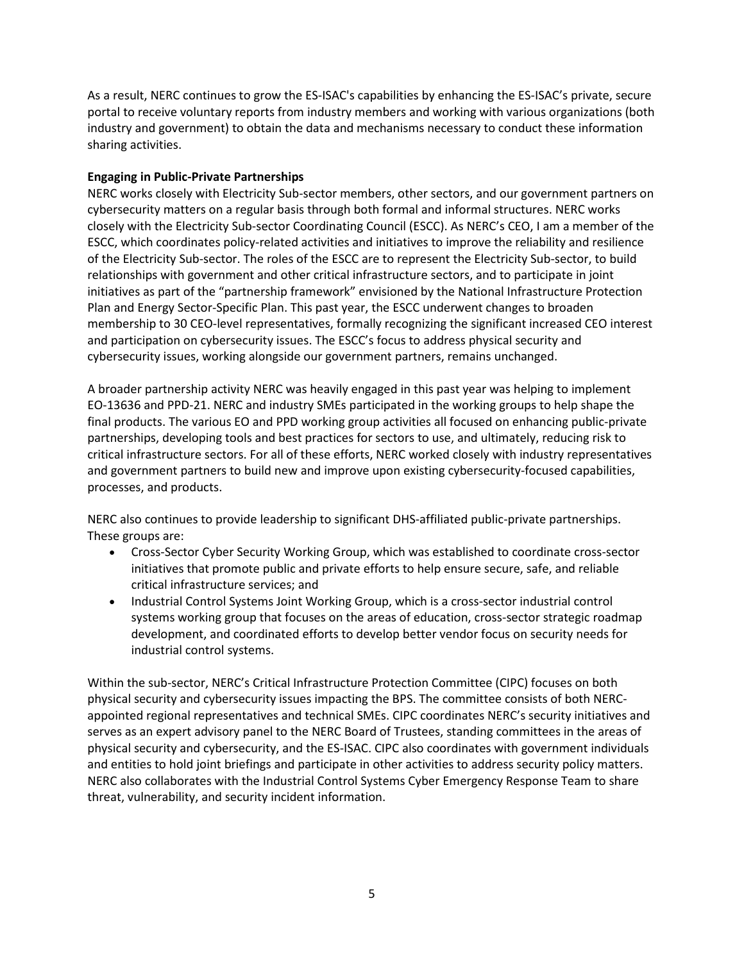As a result, NERC continues to grow the ES-ISAC's capabilities by enhancing the ES-ISAC's private, secure portal to receive voluntary reports from industry members and working with various organizations (both industry and government) to obtain the data and mechanisms necessary to conduct these information sharing activities.

## **Engaging in Public-Private Partnerships**

NERC works closely with Electricity Sub-sector members, other sectors, and our government partners on cybersecurity matters on a regular basis through both formal and informal structures. NERC works closely with the Electricity Sub-sector Coordinating Council (ESCC). As NERC's CEO, I am a member of the ESCC, which coordinates policy-related activities and initiatives to improve the reliability and resilience of the Electricity Sub-sector. The roles of the ESCC are to represent the Electricity Sub-sector, to build relationships with government and other critical infrastructure sectors, and to participate in joint initiatives as part of the "partnership framework" envisioned by the National Infrastructure Protection Plan and Energy Sector-Specific Plan. This past year, the ESCC underwent changes to broaden membership to 30 CEO-level representatives, formally recognizing the significant increased CEO interest and participation on cybersecurity issues. The ESCC's focus to address physical security and cybersecurity issues, working alongside our government partners, remains unchanged.

A broader partnership activity NERC was heavily engaged in this past year was helping to implement EO-13636 and PPD-21. NERC and industry SMEs participated in the working groups to help shape the final products. The various EO and PPD working group activities all focused on enhancing public-private partnerships, developing tools and best practices for sectors to use, and ultimately, reducing risk to critical infrastructure sectors. For all of these efforts, NERC worked closely with industry representatives and government partners to build new and improve upon existing cybersecurity-focused capabilities, processes, and products.

NERC also continues to provide leadership to significant DHS-affiliated public-private partnerships. These groups are:

- Cross-Sector Cyber Security Working Group, which was established to coordinate cross-sector initiatives that promote public and private efforts to help ensure secure, safe, and reliable critical infrastructure services; and
- Industrial Control Systems Joint Working Group, which is a cross-sector industrial control systems working group that focuses on the areas of education, cross-sector strategic roadmap development, and coordinated efforts to develop better vendor focus on security needs for industrial control systems.

Within the sub-sector, NERC's Critical Infrastructure Protection Committee (CIPC) focuses on both physical security and cybersecurity issues impacting the BPS. The committee consists of both NERCappointed regional representatives and technical SMEs. CIPC coordinates NERC's security initiatives and serves as an expert advisory panel to the NERC Board of Trustees, standing committees in the areas of physical security and cybersecurity, and the ES-ISAC. CIPC also coordinates with government individuals and entities to hold joint briefings and participate in other activities to address security policy matters. NERC also collaborates with the Industrial Control Systems Cyber Emergency Response Team to share threat, vulnerability, and security incident information.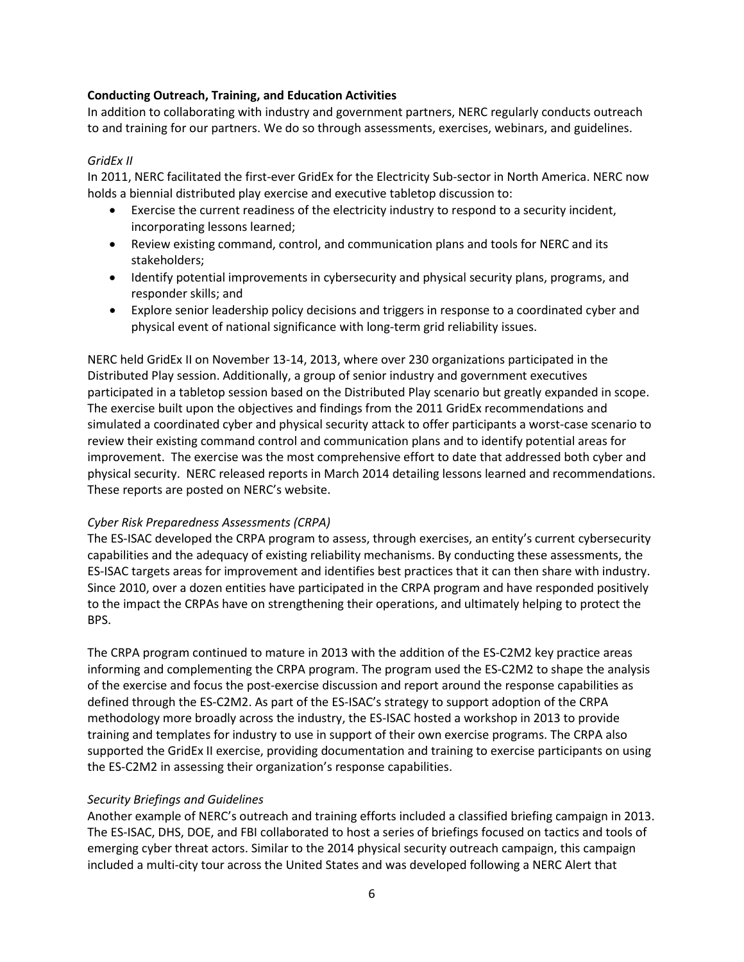### **Conducting Outreach, Training, and Education Activities**

In addition to collaborating with industry and government partners, NERC regularly conducts outreach to and training for our partners. We do so through assessments, exercises, webinars, and guidelines.

### *GridEx II*

In 2011, NERC facilitated the first-ever GridEx for the Electricity Sub-sector in North America. NERC now holds a biennial distributed play exercise and executive tabletop discussion to:

- Exercise the current readiness of the electricity industry to respond to a security incident, incorporating lessons learned;
- Review existing command, control, and communication plans and tools for NERC and its stakeholders;
- Identify potential improvements in cybersecurity and physical security plans, programs, and responder skills; and
- Explore senior leadership policy decisions and triggers in response to a coordinated cyber and physical event of national significance with long-term grid reliability issues.

NERC held GridEx II on November 13-14, 2013, where over 230 organizations participated in the Distributed Play session. Additionally, a group of senior industry and government executives participated in a tabletop session based on the Distributed Play scenario but greatly expanded in scope. The exercise built upon the objectives and findings from the 2011 GridEx recommendations and simulated a coordinated cyber and physical security attack to offer participants a worst-case scenario to review their existing command control and communication plans and to identify potential areas for improvement. The exercise was the most comprehensive effort to date that addressed both cyber and physical security. NERC released reports in March 2014 detailing lessons learned and recommendations. These reports are posted on NERC's website.

### *Cyber Risk Preparedness Assessments (CRPA)*

The ES-ISAC developed the CRPA program to assess, through exercises, an entity's current cybersecurity capabilities and the adequacy of existing reliability mechanisms. By conducting these assessments, the ES-ISAC targets areas for improvement and identifies best practices that it can then share with industry. Since 2010, over a dozen entities have participated in the CRPA program and have responded positively to the impact the CRPAs have on strengthening their operations, and ultimately helping to protect the BPS.

The CRPA program continued to mature in 2013 with the addition of the ES-C2M2 key practice areas informing and complementing the CRPA program. The program used the ES-C2M2 to shape the analysis of the exercise and focus the post-exercise discussion and report around the response capabilities as defined through the ES-C2M2. As part of the ES-ISAC's strategy to support adoption of the CRPA methodology more broadly across the industry, the ES-ISAC hosted a workshop in 2013 to provide training and templates for industry to use in support of their own exercise programs. The CRPA also supported the GridEx II exercise, providing documentation and training to exercise participants on using the ES-C2M2 in assessing their organization's response capabilities.

### *Security Briefings and Guidelines*

Another example of NERC's outreach and training efforts included a classified briefing campaign in 2013. The ES-ISAC, DHS, DOE, and FBI collaborated to host a series of briefings focused on tactics and tools of emerging cyber threat actors. Similar to the 2014 physical security outreach campaign, this campaign included a multi-city tour across the United States and was developed following a NERC Alert that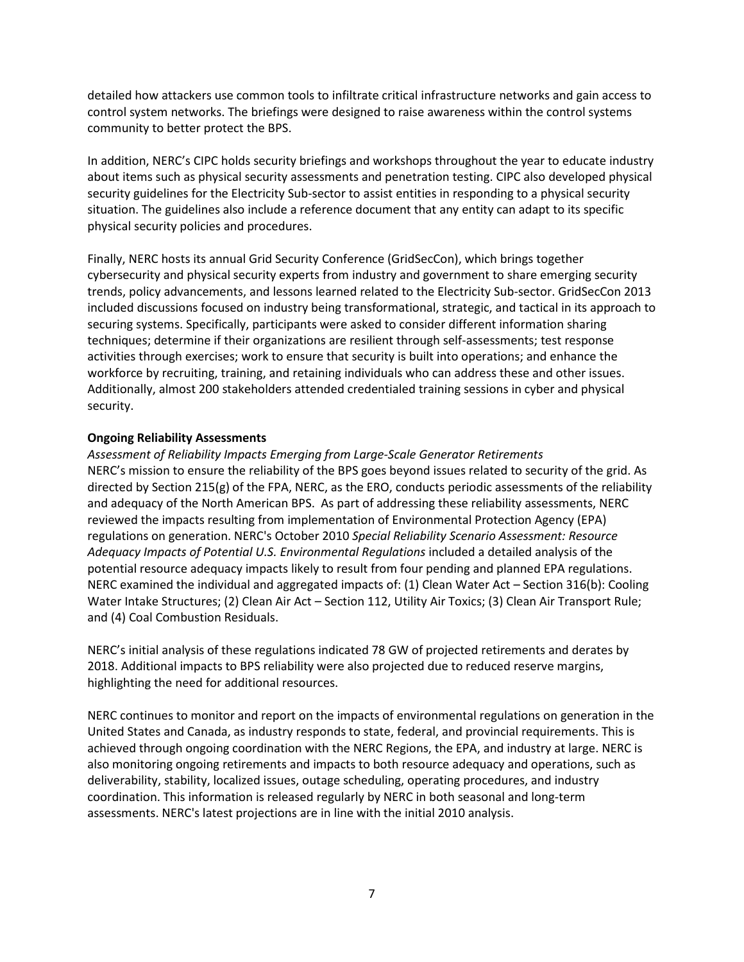detailed how attackers use common tools to infiltrate critical infrastructure networks and gain access to control system networks. The briefings were designed to raise awareness within the control systems community to better protect the BPS.

In addition, NERC's CIPC holds security briefings and workshops throughout the year to educate industry about items such as physical security assessments and penetration testing. CIPC also developed physical security guidelines for the Electricity Sub-sector to assist entities in responding to a physical security situation. The guidelines also include a reference document that any entity can adapt to its specific physical security policies and procedures.

Finally, NERC hosts its annual Grid Security Conference (GridSecCon), which brings together cybersecurity and physical security experts from industry and government to share emerging security trends, policy advancements, and lessons learned related to the Electricity Sub-sector. GridSecCon 2013 included discussions focused on industry being transformational, strategic, and tactical in its approach to securing systems. Specifically, participants were asked to consider different information sharing techniques; determine if their organizations are resilient through self-assessments; test response activities through exercises; work to ensure that security is built into operations; and enhance the workforce by recruiting, training, and retaining individuals who can address these and other issues. Additionally, almost 200 stakeholders attended credentialed training sessions in cyber and physical security.

### **Ongoing Reliability Assessments**

*Assessment of Reliability Impacts Emerging from Large-Scale Generator Retirements* NERC's mission to ensure the reliability of the BPS goes beyond issues related to security of the grid. As directed by Section 215(g) of the FPA, NERC, as the ERO, conducts periodic assessments of the reliability and adequacy of the North American BPS. As part of addressing these reliability assessments, NERC reviewed the impacts resulting from implementation of Environmental Protection Agency (EPA) regulations on generation. NERC's October 2010 *Special Reliability Scenario Assessment: Resource Adequacy Impacts of Potential U.S. Environmental Regulations* included a detailed analysis of the potential resource adequacy impacts likely to result from four pending and planned EPA regulations. NERC examined the individual and aggregated impacts of: (1) Clean Water Act – Section 316(b): Cooling Water Intake Structures; (2) Clean Air Act – Section 112, Utility Air Toxics; (3) Clean Air Transport Rule; and (4) Coal Combustion Residuals.

NERC's initial analysis of these regulations indicated 78 GW of projected retirements and derates by 2018. Additional impacts to BPS reliability were also projected due to reduced reserve margins, highlighting the need for additional resources.

NERC continues to monitor and report on the impacts of environmental regulations on generation in the United States and Canada, as industry responds to state, federal, and provincial requirements. This is achieved through ongoing coordination with the NERC Regions, the EPA, and industry at large. NERC is also monitoring ongoing retirements and impacts to both resource adequacy and operations, such as deliverability, stability, localized issues, outage scheduling, operating procedures, and industry coordination. This information is released regularly by NERC in both seasonal and long-term assessments. NERC's latest projections are in line with the initial 2010 analysis.